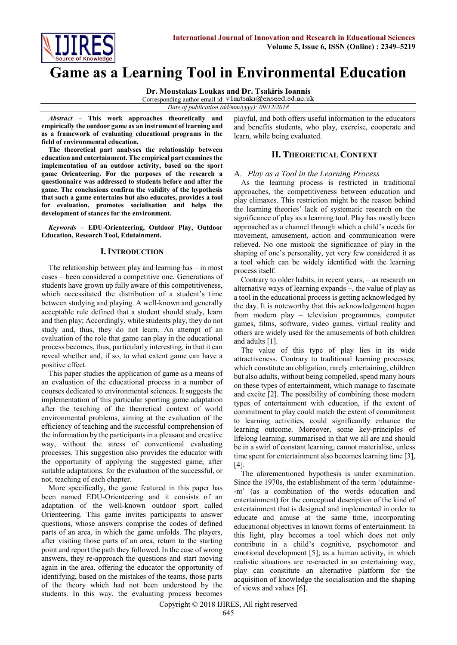

# **Game as a Learning Tool in Environmental Education**

**Dr. Moustakas Loukas and Dr. Tsakiris Ioannis**

Corresponding author email id: v1mtsaki@exseed.ed.ac.uk

*Date of publication (dd/mm/yyyy): 09/12/2018*

*Abstract* **– This work approaches theoretically and empirically the outdoor game as an instrument of learning and as a framework of evaluating educational programs in the field of environmental education.**

**The theoretical part analyses the relationship between education and entertainment. The empirical part examines the implementation of an outdoor activity, based on the sport game Orienteering. For the purposes of the research a questionnaire was addressed to students before and after the game. The conclusions confirm the validity of the hypothesis that such a game entertains but also educates, provides a tool for evaluation, promotes socialisation and helps the development of stances for the environment.**

*Keywords* **– EDU-Orienteering, Outdoor Play, Outdoor Education, Research Tool, Edutainment.**

## **I. INTRODUCTION**

The relationship between play and learning has – in most cases – been considered a competitive one. Generations of students have grown up fully aware of this competitiveness, which necessitated the distribution of a student's time between studying and playing. A well-known and generally acceptable rule defined that a student should study, learn and then play; Accordingly, while students play, they do not study and, thus, they do not learn. An attempt of an evaluation of the role that game can play in the educational process becomes, thus, particularly interesting, in that it can reveal whether and, if so, to what extent game can have a positive effect.

This paper studies the application of game as a means of an evaluation of the educational process in a number of courses dedicated to environmental sciences. It suggests the implementation of this particular sporting game adaptation after the teaching of the theoretical context of world environmental problems, aiming at the evaluation of the efficiency of teaching and the successful comprehension of the information by the participants in a pleasant and creative way, without the stress of conventional evaluating processes. This suggestion also provides the educator with the opportunity of applying the suggested game, after suitable adaptations, for the evaluation of the successful, or not, teaching of each chapter.

More specifically, the game featured in this paper has been named EDU-Orienteering and it consists of an adaptation of the well-known outdoor sport called Orienteering. This game invites participants to answer questions, whose answers comprise the codes of defined parts of an area, in which the game unfolds. The players, after visiting those parts of an area, return to the starting point and report the path they followed. In the case of wrong answers, they re-approach the questions and start moving again in the area, offering the educator the opportunity of identifying, based on the mistakes of the teams, those parts of the theory which had not been understood by the students. In this way, the evaluating process becomes playful, and both offers useful information to the educators and benefits students, who play, exercise, cooperate and learn, while being evaluated.

## **II. THEORETICAL CONTEXT**

## A. *Play as a Tool in the Learning Process*

As the learning process is restricted in traditional approaches, the competitiveness between education and play climaxes. This restriction might be the reason behind the learning theories' lack of systematic research on the significance of play as a learning tool. Play has mostly been approached as a channel through which a child's needs for movement, amusement, action and communication were relieved. No one mistook the significance of play in the shaping of one's personality, yet very few considered it as a tool which can be widely identified with the learning process itself.

Contrary to older habits, in recent years, – as research on alternative ways of learning expands –, the value of play as a tool in the educational process is getting acknowledged by the day. It is noteworthy that this acknowledgement began from modern play – television programmes, computer games, films, software, video games, virtual reality and others are widely used for the amusements of both children and adults [1].

The value of this type of play lies in its wide attractiveness. Contrary to traditional learning processes, which constitute an obligation, rarely entertaining, children but also adults, without being compelled, spend many hours on these types of entertainment, which manage to fascinate and excite [2]. The possibility of combining those modern types of entertainment with education, if the extent of commitment to play could match the extent of commitment to learning activities, could significantly enhance the learning outcome. Moreover, some key-principles of lifelong learning, summarised in that we all are and should be in a swirl of constant learning, cannot materialise, unless time spent for entertainment also becomes learning time [3], [4].

The aforementioned hypothesis is under examination. Since the 1970s, the establishment of the term 'edutainme- -nt' (as a combination of the words education and entertainment) for the conceptual description of the kind of entertainment that is designed and implemented in order to educate and amuse at the same time, incorporating educational objectives in known forms of entertainment. In this light, play becomes a tool which does not only contribute in a child's cognitive, psychomotor and emotional development [5]; as a human activity, in which realistic situations are re-enacted in an entertaining way, play can constitute an alternative platform for the acquisition of knowledge the socialisation and the shaping of views and values [6].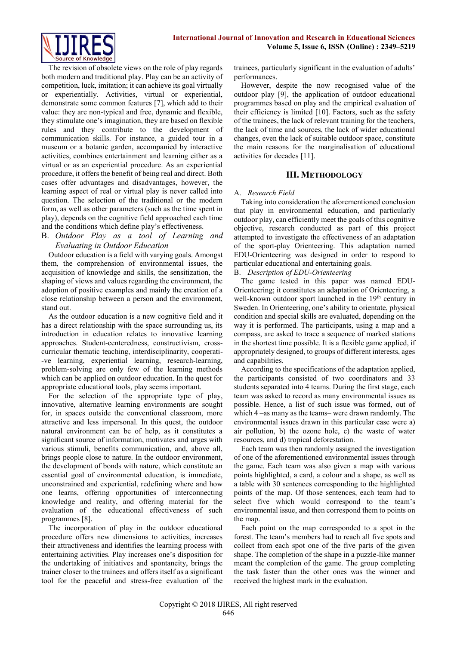

The revision of obsolete views on the role of play regards both modern and traditional play. Play can be an activity of competition, luck, imitation; it can achieve its goal virtually or experientially. Activities, virtual or experiential, demonstrate some common features [7], which add to their value: they are non-typical and free, dynamic and flexible, they stimulate one's imagination, they are based on flexible rules and they contribute to the development of communication skills. For instance, a guided tour in a museum or a botanic garden, accompanied by interactive activities, combines entertainment and learning either as a virtual or as an experiential procedure. As an experiential procedure, it offers the benefit of being real and direct. Both cases offer advantages and disadvantages, however, the learning aspect of real or virtual play is never called into question. The selection of the traditional or the modern form, as well as other parameters (such as the time spent in play), depends on the cognitive field approached each time and the conditions which define play's effectiveness.

# B. *Outdoor Play as a tool of Learning and Evaluating in Outdoor Education*

Outdoor education is a field with varying goals. Amongst them, the comprehension of environmental issues, the acquisition of knowledge and skills, the sensitization, the shaping of views and values regarding the environment, the adoption of positive examples and mainly the creation of a close relationship between a person and the environment, stand out.

As the outdoor education is a new cognitive field and it has a direct relationship with the space surrounding us, its introduction in education relates to innovative learning approaches. Student-centeredness, constructivism, crosscurricular thematic teaching, interdisciplinarity, cooperati- -ve learning, experiential learning, research-learning, problem-solving are only few of the learning methods which can be applied on outdoor education. In the quest for appropriate educational tools, play seems important.

For the selection of the appropriate type of play, innovative, alternative learning environments are sought for, in spaces outside the conventional classroom, more attractive and less impersonal. In this quest, the outdoor natural environment can be of help, as it constitutes a significant source of information, motivates and urges with various stimuli, benefits communication, and, above all, brings people close to nature. In the outdoor environment, the development of bonds with nature, which constitute an essential goal of environmental education, is immediate, unconstrained and experiential, redefining where and how one learns, offering opportunities of interconnecting knowledge and reality, and offering material for the evaluation of the educational effectiveness of such programmes [8].

The incorporation of play in the outdoor educational procedure offers new dimensions to activities, increases their attractiveness and identifies the learning process with entertaining activities. Play increases one's disposition for the undertaking of initiatives and spontaneity, brings the trainer closer to the trainees and offers itself as a significant tool for the peaceful and stress-free evaluation of the

trainees, particularly significant in the evaluation of adults' performances.

However, despite the now recognised value of the outdoor play [9], the application of outdoor educational programmes based on play and the empirical evaluation of their efficiency is limited [10]. Factors, such as the safety of the trainees, the lack of relevant training for the teachers, the lack of time and sources, the lack of wider educational changes, even the lack of suitable outdoor space, constitute the main reasons for the marginalisation of educational activities for decades [11].

## **III. METHODOLOGY**

## A. *Research Field*

Taking into consideration the aforementioned conclusion that play in environmental education, and particularly outdoor play, can efficiently meet the goals of this cognitive objective, research conducted as part of this project attempted to investigate the effectiveness of an adaptation of the sport-play Orienteering. This adaptation named EDU-Orienteering was designed in order to respond to particular educational and entertaining goals.

## B. *Description of EDU-Orienteering*

The game tested in this paper was named EDU-Orienteering; it constitutes an adaptation of Orienteering, a well-known outdoor sport launched in the 19<sup>th</sup> century in Sweden. In Orienteering, one's ability to orientate, physical condition and special skills are evaluated, depending on the way it is performed. The participants, using a map and a compass, are asked to trace a sequence of marked stations in the shortest time possible. It is a flexible game applied, if appropriately designed, to groups of different interests, ages and capabilities.

According to the specifications of the adaptation applied, the participants consisted of two coordinators and 33 students separated into 4 teams. During the first stage, each team was asked to record as many environmental issues as possible. Hence, a list of such issue was formed, out of which 4 –as many as the teams– were drawn randomly. The environmental issues drawn in this particular case were a) air pollution, b) the ozone hole, c) the waste of water resources, and d) tropical deforestation.

Each team was then randomly assigned the investigation of one of the aforementioned environmental issues through the game. Each team was also given a map with various points highlighted, a card, a colour and a shape, as well as a table with 30 sentences corresponding to the highlighted points of the map. Of those sentences, each team had to select five which would correspond to the team's environmental issue, and then correspond them to points on the map.

Each point on the map corresponded to a spot in the forest. The team's members had to reach all five spots and collect from each spot one of the five parts of the given shape. The completion of the shape in a puzzle-like manner meant the completion of the game. The group completing the task faster than the other ones was the winner and received the highest mark in the evaluation.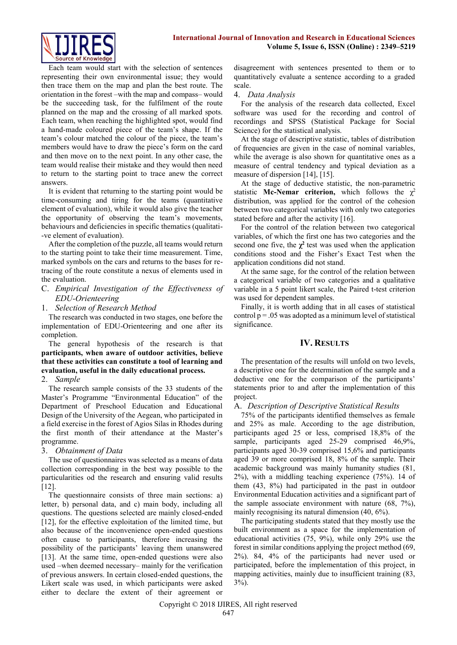

Each team would start with the selection of sentences representing their own environmental issue; they would then trace them on the map and plan the best route. The orientation in the forest –with the map and compass– would be the succeeding task, for the fulfilment of the route planned on the map and the crossing of all marked spots. Each team, when reaching the highlighted spot, would find a hand-made coloured piece of the team's shape. If the team's colour matched the colour of the piece, the team's members would have to draw the piece's form on the card and then move on to the next point. In any other case, the team would realise their mistake and they would then need to return to the starting point to trace anew the correct answers.

It is evident that returning to the starting point would be time-consuming and tiring for the teams (quantitative element of evaluation), while it would also give the teacher the opportunity of observing the team's movements, behaviours and deficiencies in specific thematics (qualitati- -ve element of evaluation).

After the completion of the puzzle, all teams would return to the starting point to take their time measurement. Time, marked symbols on the cars and returns to the bases for retracing of the route constitute a nexus of elements used in the evaluation.

- C. *Empirical Investigation of the Effectiveness of EDU-Orienteering*
- 1. *Selection of Research Method*

The research was conducted in two stages, one before the implementation of EDU-Orienteering and one after its completion.

The general hypothesis of the research is that **participants, when aware of outdoor activities, believe that these activities can constitute a tool of learning and evaluation, useful in the daily educational process.** 

## 2. *Sample*

The research sample consists of the 33 students of the Master's Programme "Environmental Education" of the Department of Preschool Education and Educational Design of the University of the Aegean, who participated in a field exercise in the forest of Agios Silas in Rhodes during the first month of their attendance at the Master's programme.

3. *Obtainment of Data*

The use of questionnaires was selected as a means of data collection corresponding in the best way possible to the particularities od the research and ensuring valid results [12].

The questionnaire consists of three main sections: a) letter, b) personal data, and c) main body, including all questions. The questions selected are mainly closed-ended [12], for the effective exploitation of the limited time, but also because of the inconvenience open-ended questions often cause to participants, therefore increasing the possibility of the participants' leaving them unanswered [13]. At the same time, open-ended questions were also used –when deemed necessary– mainly for the verification of previous answers. In certain closed-ended questions, the Likert scale was used, in which participants were asked either to declare the extent of their agreement or disagreement with sentences presented to them or to quantitatively evaluate a sentence according to a graded scale.

#### 4. *Data Analysis*

For the analysis of the research data collected, Excel software was used for the recording and control of recordings and SPSS (Statistical Package for Social Science) for the statistical analysis.

At the stage of descriptive statistic, tables of distribution of frequencies are given in the case of nominal variables, while the average is also shown for quantitative ones as a measure of central tendency and typical deviation as a measure of dispersion [14], [15].

At the stage of deductive statistic, the non-parametric statistic **Mc-Nemar criterion**, which follows the  $\chi^2$ distribution, was applied for the control of the cohesion between two categorical variables with only two categories stated before and after the activity [16].

For the control of the relation between two categorical variables, of which the first one has two categories and the second one five, the  $\chi^2$  test was used when the application conditions stood and the Fisher's Exact Test when the application conditions did not stand.

At the same sage, for the control of the relation between a categorical variable of two categories and a qualitative variable in a 5 point likert scale, the Paired t-test criterion was used for dependent samples.

Finally, it is worth adding that in all cases of statistical control  $p = 0.05$  was adopted as a minimum level of statistical significance.

## **IV. RESULTS**

The presentation of the results will unfold on two levels, a descriptive one for the determination of the sample and a deductive one for the comparison of the participants' statements prior to and after the implementation of this project.

## A. *Description of Descriptive Statistical Results*

75% of the participants identified themselves as female and 25% as male. According to the age distribution, participants aged 25 or less, comprised 18,8% of the sample, participants aged 25-29 comprised 46,9%, participants aged 30-39 comprised 15,6% and participants aged 39 or more comprised 18, 8% of the sample. Their academic background was mainly humanity studies (81, 2%), with a middling teaching experience (75%). 14 of them (43, 8%) had participated in the past in outdoor Environmental Education activities and a significant part of the sample associate environment with nature (68, 7%), mainly recognising its natural dimension (40, 6%).

The participating students stated that they mostly use the built environment as a space for the implementation of educational activities (75, 9%), while only 29% use the forest in similar conditions applying the project method (69, 2%). 84, 4% of the participants had never used or participated, before the implementation of this project, in mapping activities, mainly due to insufficient training (83, 3%).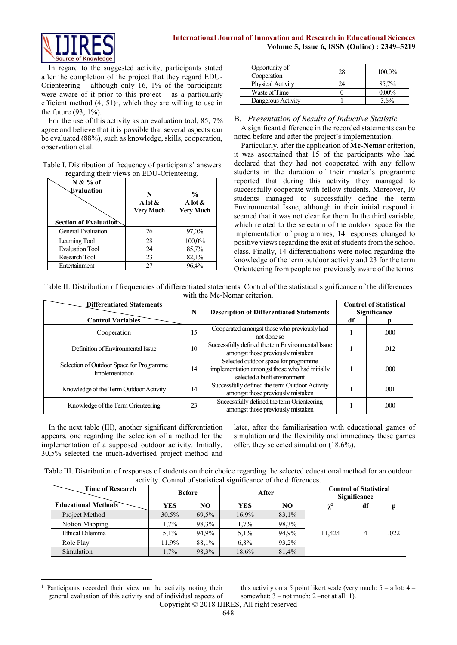

In regard to the suggested activity, participants stated after the completion of the project that they regard EDU-Orienteering – although only 16, 1% of the participants were aware of it prior to this project  $-$  as a particularly efficient method  $(4, 51)^1$ , which they are willing to use in the future (93, 1%).

For the use of this activity as an evaluation tool, 85, 7% agree and believe that it is possible that several aspects can be evaluated (88%), such as knowledge, skills, cooperation, observation et al.

| Table I. Distribution of frequency of participants' answers |  |
|-------------------------------------------------------------|--|
| regarding their views on EDU-Orienteeing.                   |  |

| $N & 26$ of<br>Evaluation<br><b>Section of Evaluation</b> | N<br>A lot $\&$<br><b>Very Much</b> | $\frac{0}{0}$<br>A lot $\&$<br><b>Very Much</b> |
|-----------------------------------------------------------|-------------------------------------|-------------------------------------------------|
|                                                           |                                     |                                                 |
| General Evaluation                                        | 26                                  | 97,0%                                           |
| Learning Tool                                             | 28                                  | 100,0%                                          |
| <b>Evaluation Tool</b>                                    | 24                                  | 85,7%                                           |
| Research Tool                                             | 23                                  | 82,1%                                           |
| Entertainment                                             | 27                                  | 96,4%                                           |

| Opportunity of<br>Cooperation | 28 | 100,0%   |
|-------------------------------|----|----------|
| <b>Physical Activity</b>      | 24 | 85,7%    |
| Waste of Time                 |    | $0.00\%$ |
| Dangerous Activity            |    | 3,6%     |

## B. *Presentation of Results of Inductive Statistic.*

A significant difference in the recorded statements can be noted before and after the project's implementation.

Particularly, after the application of **Mc-Nemar** criterion, it was ascertained that 15 of the participants who had declared that they had not cooperated with any fellow students in the duration of their master's programme reported that during this activity they managed to successfully cooperate with fellow students. Moreover, 10 students managed to successfully define the term Environmental Issue, although in their initial respond it seemed that it was not clear for them. In the third variable, which related to the selection of the outdoor space for the implementation of programmes, 14 responses changed to positive views regarding the exit of students from the school class. Finally, 14 differentiations were noted regarding the knowledge of the term outdoor activity and 23 for the term Orienteering from people not previously aware of the terms.

| Table II. Distribution of frequencies of differentiated statements. Control of the statistical significance of the differences |  |
|--------------------------------------------------------------------------------------------------------------------------------|--|
| with the Mc-Nemar criterion.                                                                                                   |  |

| <b>Differentiated Statements</b>                           |    | <b>Description of Differentiated Statements</b>                                                                        | <b>Control of Statistical</b><br><b>Significance</b> |      |  |
|------------------------------------------------------------|----|------------------------------------------------------------------------------------------------------------------------|------------------------------------------------------|------|--|
| <b>Control Variables</b>                                   |    |                                                                                                                        | df                                                   |      |  |
| Cooperation                                                | 15 | Cooperated amongst those who previously had<br>not done so                                                             |                                                      | .000 |  |
| Definition of Environmental Issue                          | 10 | Successfully defined the tern Environmental Issue<br>amongst those previously mistaken                                 |                                                      | .012 |  |
| Selection of Outdoor Space for Programme<br>Implementation | 14 | Selected outdoor space for programme<br>implementation amongst those who had initially<br>selected a built environment |                                                      | .000 |  |
| Knowledge of the Term Outdoor Activity                     | 14 | Successfully defined the term Outdoor Activity<br>amongst those previously mistaken                                    |                                                      | .001 |  |
| Knowledge of the Term Orienteering                         | 23 | Successfully defined the term Orienteering<br>amongst those previously mistaken                                        |                                                      | .000 |  |

In the next table (III), another significant differentiation appears, one regarding the selection of a method for the implementation of a supposed outdoor activity. Initially, 30,5% selected the much-advertised project method and

-

later, after the familiarisation with educational games of simulation and the flexibility and immediacy these games offer, they selected simulation (18,6%).

| Table III. Distribution of responses of students on their choice regarding the selected educational method for an outdoor |
|---------------------------------------------------------------------------------------------------------------------------|
| activity. Control of statistical significance of the differences.                                                         |

| <b>Time of Research</b>    | <b>Before</b><br>After |       |         |       | <b>Control of Statistical</b><br><b>Significance</b> |    |      |  |
|----------------------------|------------------------|-------|---------|-------|------------------------------------------------------|----|------|--|
| <b>Educational Methods</b> | YES                    | NO    | YES     | NO    | $\gamma^2$                                           | df |      |  |
| Project Method             | 30,5%                  | 69.5% | 16.9%   | 83,1% |                                                      |    |      |  |
| Notion Mapping             | $1.7\%$                | 98.3% | 1,7%    | 98,3% |                                                      |    |      |  |
| <b>Ethical Dilemma</b>     | $5.1\%$                | 94.9% | $5.1\%$ | 94,9% | 11.424                                               | 4  | .022 |  |
| Role Play                  | 1.9%                   | 88.1% | 6,8%    | 93,2% |                                                      |    |      |  |
| Simulation                 | 1,7%                   | 98.3% | 18,6%   | 81,4% |                                                      |    |      |  |

Copyright © 2018 IJIRES, All right reserved <sup>1</sup> Participants recorded their view on the activity noting their general evaluation of this activity and of individual aspects of this activity on a 5 point likert scale (very much:  $5 - a$  lot:  $4$ somewhat: 3 – not much: 2 –not at all: 1).